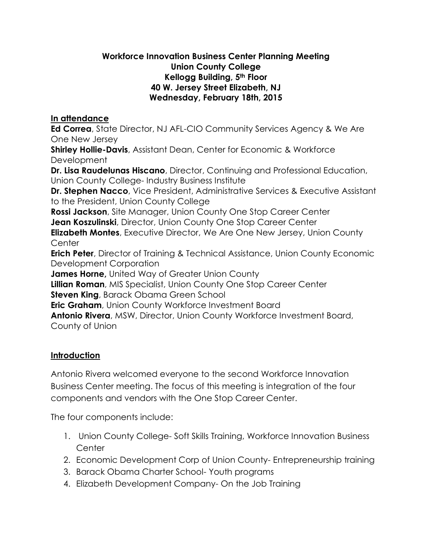### **Workforce Innovation Business Center Planning Meeting Union County College Kellogg Building, 5th Floor 40 W. Jersey Street Elizabeth, NJ Wednesday, February 18th, 2015**

## **In attendance**

**Ed Correa**, State Director, NJ AFL-CIO Community Services Agency & We Are One New Jersey

**Shirley Hollie-Davis**, Assistant Dean, Center for Economic & Workforce Development

**Dr. Lisa Raudelunas Hiscano**, Director, Continuing and Professional Education, Union County College- Industry Business Institute

**Dr. Stephen Nacco**, Vice President, Administrative Services & Executive Assistant to the President, Union County College

**Rossi Jackson**, Site Manager, Union County One Stop Career Center **Jean Koszulinski**, Director, Union County One Stop Career Center

**Elizabeth Montes**, Executive Director, We Are One New Jersey, Union County **Center** 

**Erich Peter**, Director of Training & Technical Assistance, Union County Economic Development Corporation

**James Horne,** United Way of Greater Union County

**Lillian Roman**, MIS Specialist, Union County One Stop Career Center

**Steven King**, Barack Obama Green School

**Eric Graham**, Union County Workforce Investment Board

**Antonio Rivera**, MSW, Director, Union County Workforce Investment Board, County of Union

# **Introduction**

Antonio Rivera welcomed everyone to the second Workforce Innovation Business Center meeting. The focus of this meeting is integration of the four components and vendors with the One Stop Career Center.

The four components include:

- 1. Union County College- Soft Skills Training, Workforce Innovation Business **Center**
- 2. Economic Development Corp of Union County- Entrepreneurship training
- 3. Barack Obama Charter School- Youth programs
- 4. Elizabeth Development Company- On the Job Training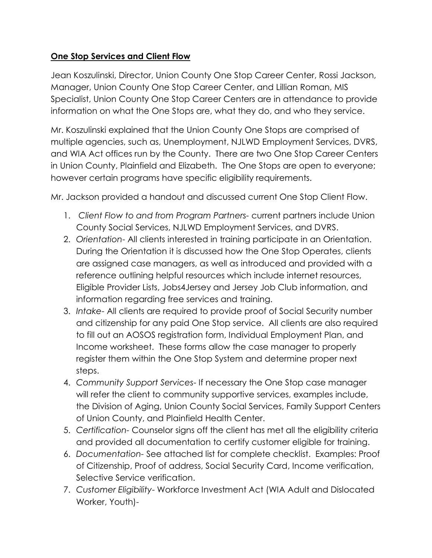# **One Stop Services and Client Flow**

Jean Koszulinski, Director, Union County One Stop Career Center, Rossi Jackson, Manager, Union County One Stop Career Center, and Lillian Roman, MIS Specialist, Union County One Stop Career Centers are in attendance to provide information on what the One Stops are, what they do, and who they service.

Mr. Koszulinski explained that the Union County One Stops are comprised of multiple agencies, such as, Unemployment, NJLWD Employment Services, DVRS, and WIA Act offices run by the County. There are two One Stop Career Centers in Union County, Plainfield and Elizabeth. The One Stops are open to everyone; however certain programs have specific eligibility requirements.

Mr. Jackson provided a handout and discussed current One Stop Client Flow.

- 1. *Client Flow to and from Program Partners-* current partners include Union County Social Services, NJLWD Employment Services, and DVRS.
- 2. *Orientation* All clients interested in training participate in an Orientation. During the Orientation it is discussed how the One Stop Operates, clients are assigned case managers, as well as introduced and provided with a reference outlining helpful resources which include internet resources, Eligible Provider Lists, Jobs4Jersey and Jersey Job Club information, and information regarding free services and training.
- 3. *Intake* All clients are required to provide proof of Social Security number and citizenship for any paid One Stop service. All clients are also required to fill out an AOSOS registration form, Individual Employment Plan, and Income worksheet. These forms allow the case manager to properly register them within the One Stop System and determine proper next steps.
- 4. *Community Support Services* If necessary the One Stop case manager will refer the client to community supportive services, examples include, the Division of Aging, Union County Social Services, Family Support Centers of Union County, and Plainfield Health Center.
- 5. *Certification-* Counselor signs off the client has met all the eligibility criteria and provided all documentation to certify customer eligible for training.
- 6. *Documentation-* See attached list for complete checklist. Examples: Proof of Citizenship, Proof of address, Social Security Card, Income verification, Selective Service verification.
- 7. *Customer Eligibility* Workforce Investment Act (WIA Adult and Dislocated Worker, Youth)-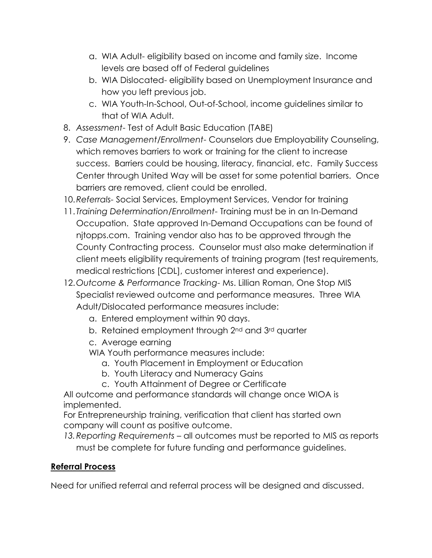- a. WIA Adult- eligibility based on income and family size. Income levels are based off of Federal guidelines
- b. WIA Dislocated- eligibility based on Unemployment Insurance and how you left previous job.
- c. WIA Youth-In-School, Out-of-School, income guidelines similar to that of WIA Adult.
- 8. *Assessment* Test of Adult Basic Education (TABE)
- 9. *Case Management/Enrollment* Counselors due Employability Counseling, which removes barriers to work or training for the client to increase success. Barriers could be housing, literacy, financial, etc. Family Success Center through United Way will be asset for some potential barriers. Once barriers are removed, client could be enrolled.
- 10.*Referrals-* Social Services, Employment Services, Vendor for training
- 11. *Training Determination/Enrollment* Training must be in an In-Demand Occupation. State approved In-Demand Occupations can be found of njtopps.com. Training vendor also has to be approved through the County Contracting process. Counselor must also make determination if client meets eligibility requirements of training program (test requirements, medical restrictions [CDL], customer interest and experience).
- 12.*Outcome & Performance Tracking* Ms. Lillian Roman, One Stop MIS Specialist reviewed outcome and performance measures. Three WIA Adult/Dislocated performance measures include:
	- a. Entered employment within 90 days.
	- b. Retained employment through 2<sup>nd</sup> and 3<sup>rd</sup> quarter
	- c. Average earning
	- WIA Youth performance measures include:
		- a. Youth Placement in Employment or Education
		- b. Youth Literacy and Numeracy Gains
		- c. Youth Attainment of Degree or Certificate

All outcome and performance standards will change once WIOA is implemented.

For Entrepreneurship training, verification that client has started own company will count as positive outcome.

*13.Reporting Requirements* – all outcomes must be reported to MIS as reports must be complete for future funding and performance guidelines.

## **Referral Process**

Need for unified referral and referral process will be designed and discussed.